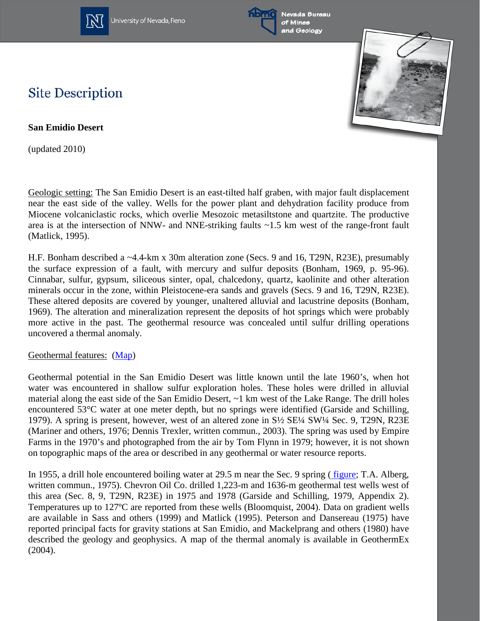

University of Nevada, Reno





## **Site Description**

**San Emidio Desert**

(updated 2010)

Geologic setting: The San Emidio Desert is an east-tilted half graben, with major fault displacement near the east side of the valley. Wells for the power plant and dehydration facility produce from Miocene volcaniclastic rocks, which overlie Mesozoic metasiltstone and quartzite. The productive area is at the intersection of NNW- and NNE-striking faults ~1.5 km west of the range-front fault (Matlick, 1995).

H.F. Bonham described a ~4.4-km x 30m alteration zone (Secs. 9 and 16, T29N, R23E), presumably the surface expression of a fault, with mercury and sulfur deposits (Bonham, 1969, p. 95-96). Cinnabar, sulfur, gypsum, siliceous sinter, opal, chalcedony, quartz, kaolinite and other alteration minerals occur in the zone, within Pleistocene-era sands and gravels (Secs. 9 and 16, T29N, R23E). These altered deposits are covered by younger, unaltered alluvial and lacustrine deposits (Bonham, 1969). The alteration and mineralization represent the deposits of hot springs which were probably more active in the past. The geothermal resource was concealed until sulfur drilling operations uncovered a thermal anomaly.

## Geothermal features: [\(Map\)](http://www.nbmg.unr.edu/geothermal/detailedmaps/San%20Emidio%20Desert.pdf)

Geothermal potential in the San Emidio Desert was little known until the late 1960's, when hot water was encountered in shallow sulfur exploration holes. These holes were drilled in alluvial material along the east side of the San Emidio Desert, ~1 km west of the Lake Range. The drill holes encountered 53°C water at one meter depth, but no springs were identified (Garside and Schilling, 1979). A spring is present, however, west of an altered zone in S½ SE¼ SW¼ Sec. 9, T29N, R23E (Mariner and others, 1976; Dennis Trexler, written commun., 2003). The spring was used by Empire Farms in the 1970's and photographed from the air by Tom Flynn in 1979; however, it is not shown on topographic maps of the area or described in any geothermal or water resource reports.

In 1955, a drill hole encountered boiling water at 29.5 m near the Sec. 9 spring ( [figure;](http://www.nbmg.unr.edu/geothermal/figures/fig53.pdf) T.A. Alberg, written commun., 1975). Chevron Oil Co. drilled 1,223-m and 1636-m geothermal test wells west of this area (Sec. 8, 9, T29N, R23E) in 1975 and 1978 (Garside and Schilling, 1979, Appendix 2). Temperatures up to 127ºC are reported from these wells (Bloomquist, 2004). Data on gradient wells are available in Sass and others (1999) and Matlick (1995). Peterson and Dansereau (1975) have reported principal facts for gravity stations at San Emidio, and Mackelprang and others (1980) have described the geology and geophysics. A map of the thermal anomaly is available in GeothermEx (2004).